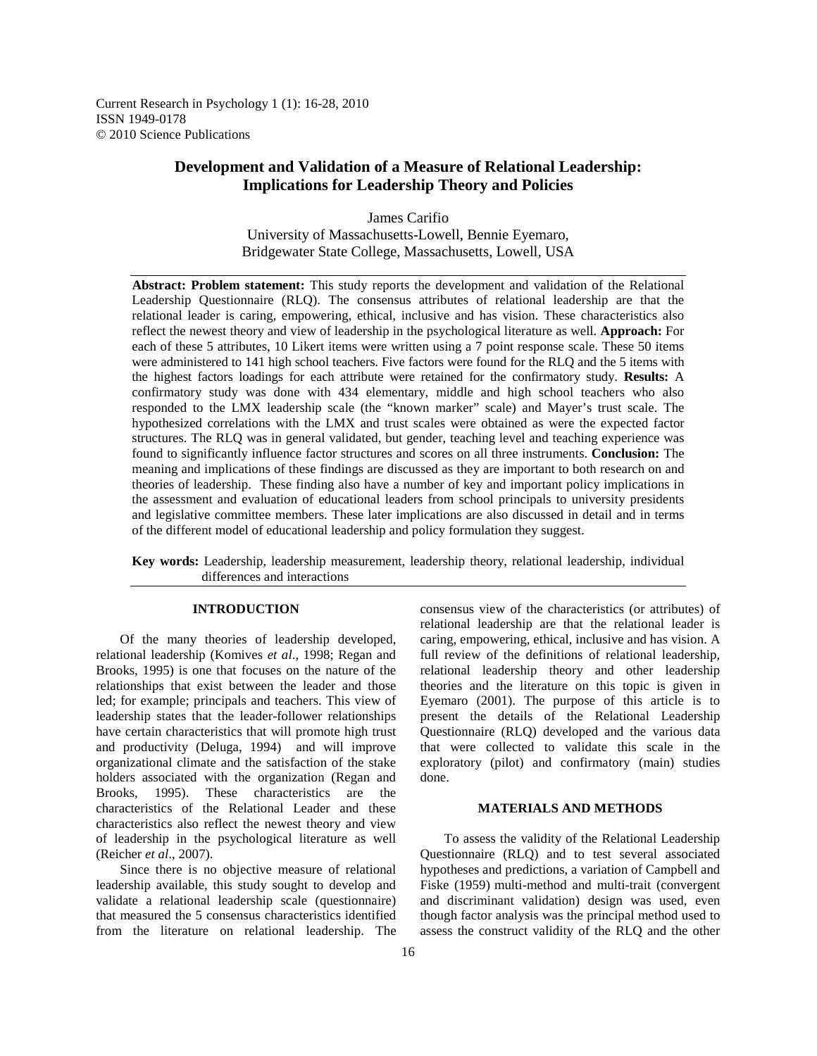Current Research in Psychology 1 (1): 16-28, 2010 ISSN 1949-0178 © 2010 Science Publications

# **Development and Validation of a Measure of Relational Leadership: Implications for Leadership Theory and Policies**

James Carifio University of Massachusetts-Lowell, Bennie Eyemaro, Bridgewater State College, Massachusetts, Lowell, USA

**Abstract: Problem statement:** This study reports the development and validation of the Relational Leadership Questionnaire (RLQ). The consensus attributes of relational leadership are that the relational leader is caring, empowering, ethical, inclusive and has vision. These characteristics also reflect the newest theory and view of leadership in the psychological literature as well. **Approach:** For each of these 5 attributes, 10 Likert items were written using a 7 point response scale. These 50 items were administered to 141 high school teachers. Five factors were found for the RLQ and the 5 items with the highest factors loadings for each attribute were retained for the confirmatory study. **Results:** A confirmatory study was done with 434 elementary, middle and high school teachers who also responded to the LMX leadership scale (the "known marker" scale) and Mayer's trust scale. The hypothesized correlations with the LMX and trust scales were obtained as were the expected factor structures. The RLQ was in general validated, but gender, teaching level and teaching experience was found to significantly influence factor structures and scores on all three instruments. **Conclusion:** The meaning and implications of these findings are discussed as they are important to both research on and theories of leadership. These finding also have a number of key and important policy implications in the assessment and evaluation of educational leaders from school principals to university presidents and legislative committee members. These later implications are also discussed in detail and in terms of the different model of educational leadership and policy formulation they suggest.

**Key words:** Leadership, leadership measurement, leadership theory, relational leadership, individual differences and interactions

# **INTRODUCTION**

 Of the many theories of leadership developed, relational leadership (Komives *et al*., 1998; Regan and Brooks, 1995) is one that focuses on the nature of the relationships that exist between the leader and those led; for example; principals and teachers. This view of leadership states that the leader-follower relationships have certain characteristics that will promote high trust and productivity (Deluga, 1994) and will improve organizational climate and the satisfaction of the stake holders associated with the organization (Regan and Brooks, 1995). These characteristics are the characteristics of the Relational Leader and these characteristics also reflect the newest theory and view of leadership in the psychological literature as well (Reicher *et al*., 2007).

 Since there is no objective measure of relational leadership available, this study sought to develop and validate a relational leadership scale (questionnaire) that measured the 5 consensus characteristics identified from the literature on relational leadership. The consensus view of the characteristics (or attributes) of relational leadership are that the relational leader is caring, empowering, ethical, inclusive and has vision. A full review of the definitions of relational leadership, relational leadership theory and other leadership theories and the literature on this topic is given in Eyemaro (2001). The purpose of this article is to present the details of the Relational Leadership Questionnaire (RLQ) developed and the various data that were collected to validate this scale in the exploratory (pilot) and confirmatory (main) studies done.

### **MATERIALS AND METHODS**

 To assess the validity of the Relational Leadership Questionnaire (RLQ) and to test several associated hypotheses and predictions, a variation of Campbell and Fiske (1959) multi-method and multi-trait (convergent and discriminant validation) design was used, even though factor analysis was the principal method used to assess the construct validity of the RLQ and the other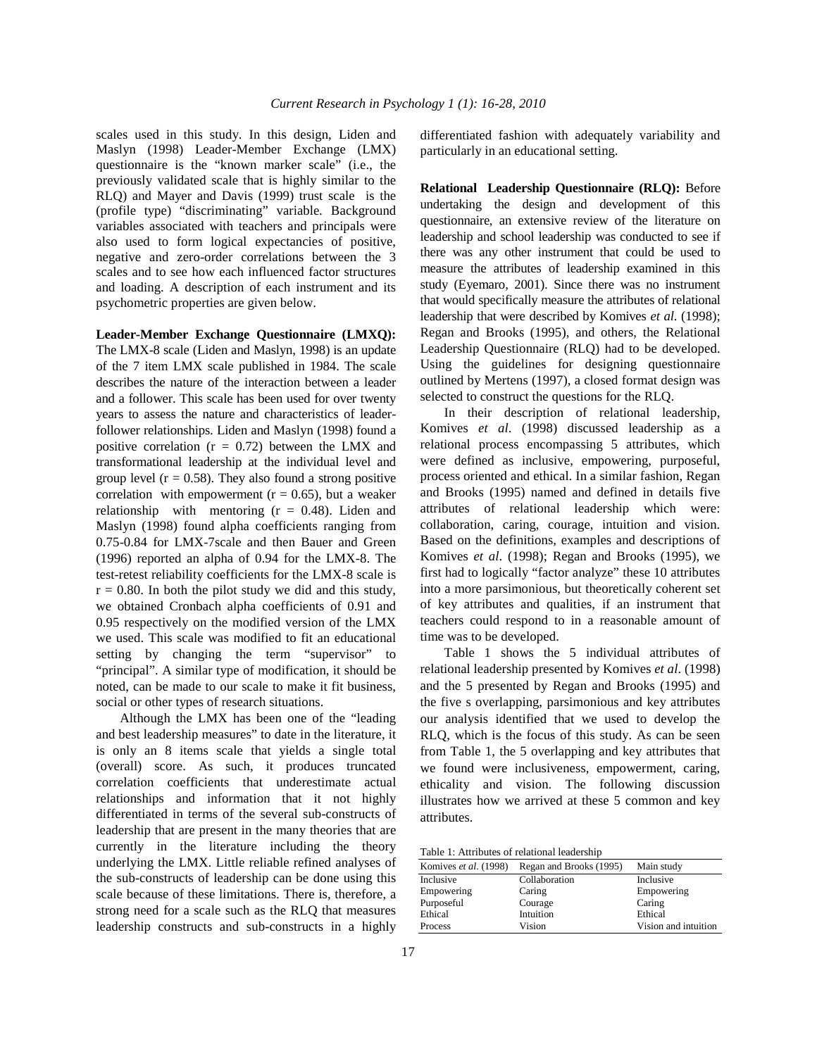scales used in this study. In this design, Liden and Maslyn (1998) Leader-Member Exchange (LMX) questionnaire is the "known marker scale" (i.e., the previously validated scale that is highly similar to the RLQ) and Mayer and Davis (1999) trust scale is the (profile type) "discriminating" variable*.* Background variables associated with teachers and principals were also used to form logical expectancies of positive, negative and zero-order correlations between the 3 scales and to see how each influenced factor structures and loading. A description of each instrument and its psychometric properties are given below.

#### **Leader-Member Exchange Questionnaire (LMXQ):**

The LMX-8 scale (Liden and Maslyn, 1998) is an update of the 7 item LMX scale published in 1984. The scale describes the nature of the interaction between a leader and a follower. This scale has been used for over twenty years to assess the nature and characteristics of leaderfollower relationships. Liden and Maslyn (1998) found a positive correlation  $(r = 0.72)$  between the LMX and transformational leadership at the individual level and group level ( $r = 0.58$ ). They also found a strong positive correlation with empowerment ( $r = 0.65$ ), but a weaker relationship with mentoring  $(r = 0.48)$ . Liden and Maslyn (1998) found alpha coefficients ranging from 0.75-0.84 for LMX-7scale and then Bauer and Green (1996) reported an alpha of 0.94 for the LMX-8. The test-retest reliability coefficients for the LMX-8 scale is  $r = 0.80$ . In both the pilot study we did and this study, we obtained Cronbach alpha coefficients of 0.91 and 0.95 respectively on the modified version of the LMX we used. This scale was modified to fit an educational setting by changing the term "supervisor" to "principal". A similar type of modification, it should be noted, can be made to our scale to make it fit business, social or other types of research situations.

 Although the LMX has been one of the "leading and best leadership measures" to date in the literature, it is only an 8 items scale that yields a single total (overall) score. As such, it produces truncated correlation coefficients that underestimate actual relationships and information that it not highly differentiated in terms of the several sub-constructs of leadership that are present in the many theories that are currently in the literature including the theory underlying the LMX. Little reliable refined analyses of the sub-constructs of leadership can be done using this scale because of these limitations. There is, therefore, a strong need for a scale such as the RLQ that measures leadership constructs and sub-constructs in a highly

differentiated fashion with adequately variability and particularly in an educational setting.

**Relational Leadership Questionnaire (RLQ):** Before undertaking the design and development of this questionnaire, an extensive review of the literature on leadership and school leadership was conducted to see if there was any other instrument that could be used to measure the attributes of leadership examined in this study (Eyemaro, 2001). Since there was no instrument that would specifically measure the attributes of relational leadership that were described by Komives *et al*. (1998); Regan and Brooks (1995), and others, the Relational Leadership Questionnaire (RLQ) had to be developed. Using the guidelines for designing questionnaire outlined by Mertens (1997), a closed format design was selected to construct the questions for the RLQ.

 In their description of relational leadership, Komives *et al*. (1998) discussed leadership as a relational process encompassing 5 attributes, which were defined as inclusive, empowering, purposeful, process oriented and ethical. In a similar fashion, Regan and Brooks (1995) named and defined in details five attributes of relational leadership which were: collaboration, caring, courage, intuition and vision. Based on the definitions, examples and descriptions of Komives *et al*. (1998); Regan and Brooks (1995), we first had to logically "factor analyze" these 10 attributes into a more parsimonious, but theoretically coherent set of key attributes and qualities, if an instrument that teachers could respond to in a reasonable amount of time was to be developed.

 Table 1 shows the 5 individual attributes of relational leadership presented by Komives *et al*. (1998) and the 5 presented by Regan and Brooks (1995) and the five s overlapping, parsimonious and key attributes our analysis identified that we used to develop the RLQ, which is the focus of this study. As can be seen from Table 1, the 5 overlapping and key attributes that we found were inclusiveness, empowerment, caring, ethicality and vision. The following discussion illustrates how we arrived at these 5 common and key attributes.

Table 1: Attributes of relational leadership

| Komives et al. (1998) | Regan and Brooks (1995) | Main study           |
|-----------------------|-------------------------|----------------------|
| Inclusive             | Collaboration           | Inclusive            |
| Empowering            | Caring                  | Empowering           |
| Purposeful            | Courage                 | Caring               |
| Ethical               | Intuition               | Ethical              |
| Process               | Vision                  | Vision and intuition |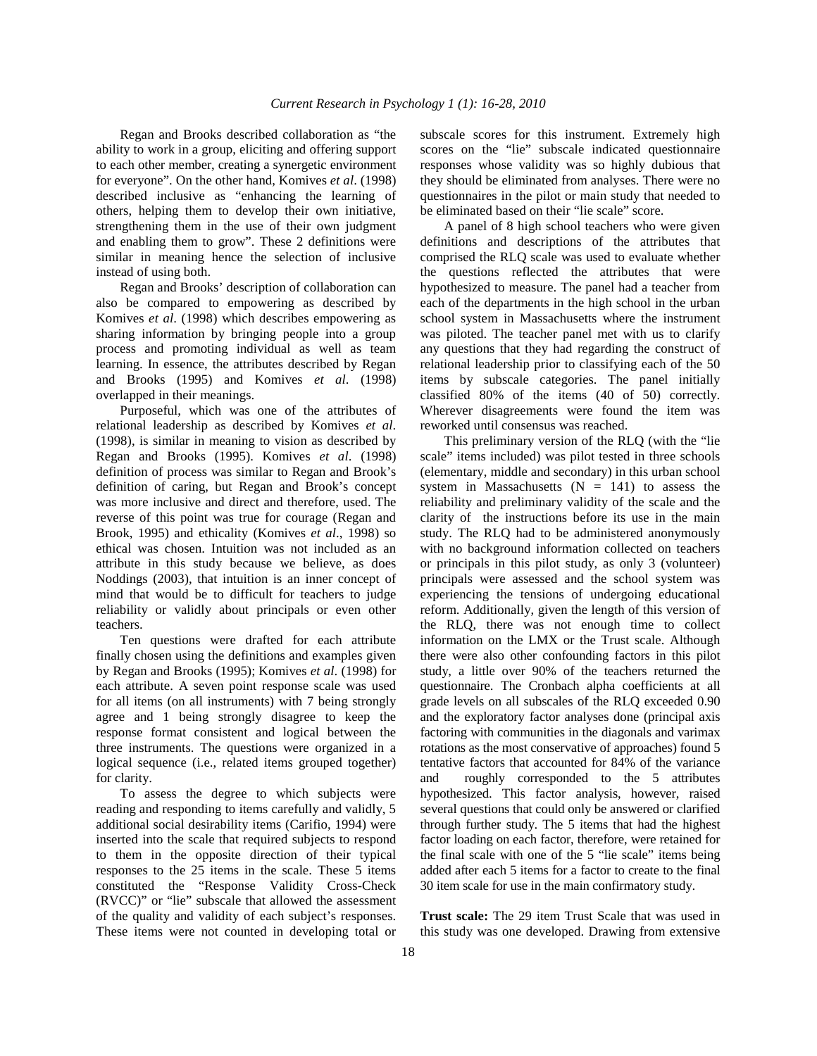Regan and Brooks described collaboration as "the ability to work in a group, eliciting and offering support to each other member, creating a synergetic environment for everyone". On the other hand, Komives *et al*. (1998) described inclusive as "enhancing the learning of others, helping them to develop their own initiative, strengthening them in the use of their own judgment and enabling them to grow". These 2 definitions were similar in meaning hence the selection of inclusive instead of using both.

 Regan and Brooks' description of collaboration can also be compared to empowering as described by Komives *et al*. (1998) which describes empowering as sharing information by bringing people into a group process and promoting individual as well as team learning. In essence, the attributes described by Regan and Brooks (1995) and Komives *et al*. (1998) overlapped in their meanings.

 Purposeful, which was one of the attributes of relational leadership as described by Komives *et al*. (1998), is similar in meaning to vision as described by Regan and Brooks (1995). Komives *et al*. (1998) definition of process was similar to Regan and Brook's definition of caring, but Regan and Brook's concept was more inclusive and direct and therefore, used. The reverse of this point was true for courage (Regan and Brook, 1995) and ethicality (Komives *et al*., 1998) so ethical was chosen. Intuition was not included as an attribute in this study because we believe, as does Noddings (2003), that intuition is an inner concept of mind that would be to difficult for teachers to judge reliability or validly about principals or even other teachers.

 Ten questions were drafted for each attribute finally chosen using the definitions and examples given by Regan and Brooks (1995); Komives *et al*. (1998) for each attribute. A seven point response scale was used for all items (on all instruments) with 7 being strongly agree and 1 being strongly disagree to keep the response format consistent and logical between the three instruments. The questions were organized in a logical sequence (i.e., related items grouped together) for clarity.

 To assess the degree to which subjects were reading and responding to items carefully and validly, 5 additional social desirability items (Carifio, 1994) were inserted into the scale that required subjects to respond to them in the opposite direction of their typical responses to the 25 items in the scale. These 5 items constituted the "Response Validity Cross-Check (RVCC)" or "lie" subscale that allowed the assessment of the quality and validity of each subject's responses. These items were not counted in developing total or subscale scores for this instrument. Extremely high scores on the "lie" subscale indicated questionnaire responses whose validity was so highly dubious that they should be eliminated from analyses. There were no questionnaires in the pilot or main study that needed to be eliminated based on their "lie scale" score.

 A panel of 8 high school teachers who were given definitions and descriptions of the attributes that comprised the RLQ scale was used to evaluate whether the questions reflected the attributes that were hypothesized to measure. The panel had a teacher from each of the departments in the high school in the urban school system in Massachusetts where the instrument was piloted. The teacher panel met with us to clarify any questions that they had regarding the construct of relational leadership prior to classifying each of the 50 items by subscale categories. The panel initially classified 80% of the items (40 of 50) correctly. Wherever disagreements were found the item was reworked until consensus was reached.

 This preliminary version of the RLQ (with the "lie scale" items included) was pilot tested in three schools (elementary, middle and secondary) in this urban school system in Massachusetts  $(N = 141)$  to assess the reliability and preliminary validity of the scale and the clarity of the instructions before its use in the main study. The RLQ had to be administered anonymously with no background information collected on teachers or principals in this pilot study, as only 3 (volunteer) principals were assessed and the school system was experiencing the tensions of undergoing educational reform. Additionally, given the length of this version of the RLQ, there was not enough time to collect information on the LMX or the Trust scale. Although there were also other confounding factors in this pilot study, a little over 90% of the teachers returned the questionnaire. The Cronbach alpha coefficients at all grade levels on all subscales of the RLQ exceeded 0.90 and the exploratory factor analyses done (principal axis factoring with communities in the diagonals and varimax rotations as the most conservative of approaches) found 5 tentative factors that accounted for 84% of the variance and roughly corresponded to the 5 attributes hypothesized. This factor analysis, however, raised several questions that could only be answered or clarified through further study. The 5 items that had the highest factor loading on each factor, therefore, were retained for the final scale with one of the 5 "lie scale" items being added after each 5 items for a factor to create to the final 30 item scale for use in the main confirmatory study.

**Trust scale:** The 29 item Trust Scale that was used in this study was one developed. Drawing from extensive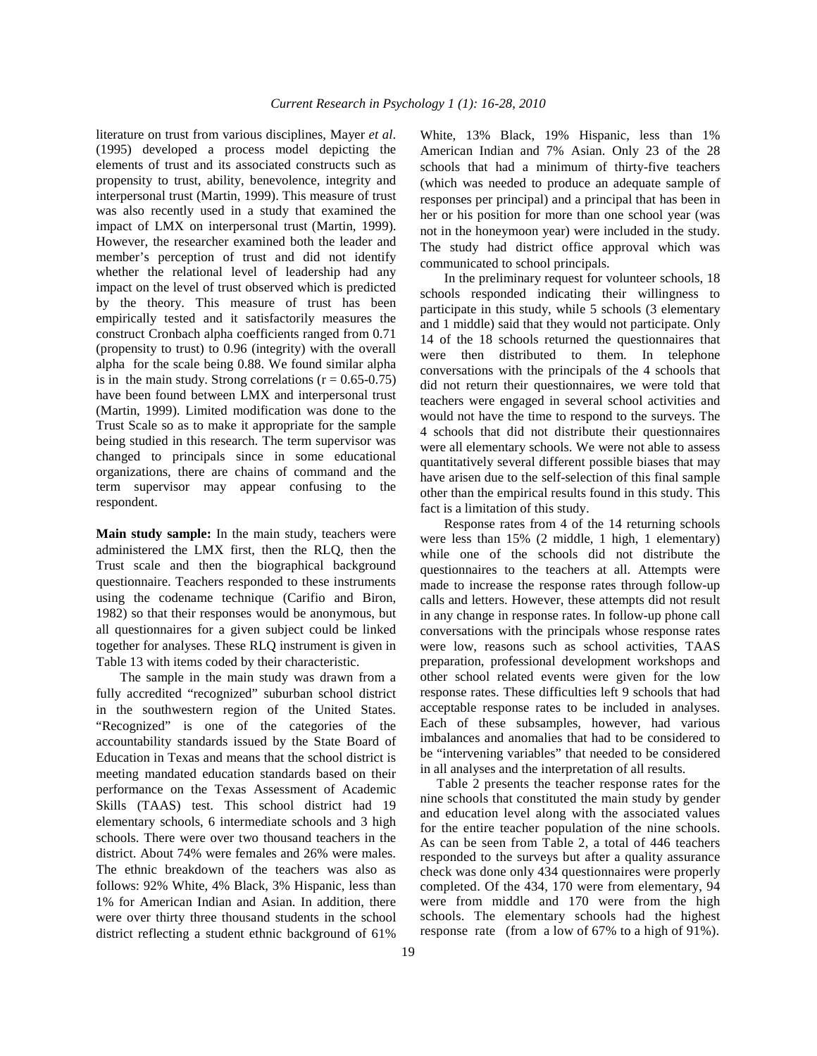literature on trust from various disciplines, Mayer *et al*. (1995) developed a process model depicting the elements of trust and its associated constructs such as propensity to trust, ability, benevolence, integrity and interpersonal trust (Martin, 1999). This measure of trust was also recently used in a study that examined the impact of LMX on interpersonal trust (Martin, 1999). However, the researcher examined both the leader and member's perception of trust and did not identify whether the relational level of leadership had any impact on the level of trust observed which is predicted by the theory. This measure of trust has been empirically tested and it satisfactorily measures the construct Cronbach alpha coefficients ranged from 0.71 (propensity to trust) to 0.96 (integrity) with the overall alpha for the scale being 0.88. We found similar alpha is in the main study. Strong correlations  $(r = 0.65 - 0.75)$ have been found between LMX and interpersonal trust (Martin, 1999). Limited modification was done to the Trust Scale so as to make it appropriate for the sample being studied in this research. The term supervisor was changed to principals since in some educational organizations, there are chains of command and the term supervisor may appear confusing to the respondent.

**Main study sample:** In the main study, teachers were administered the LMX first, then the RLQ, then the Trust scale and then the biographical background questionnaire. Teachers responded to these instruments using the codename technique (Carifio and Biron, 1982) so that their responses would be anonymous, but all questionnaires for a given subject could be linked together for analyses. These RLQ instrument is given in Table 13 with items coded by their characteristic.

 The sample in the main study was drawn from a fully accredited "recognized" suburban school district in the southwestern region of the United States. "Recognized" is one of the categories of the accountability standards issued by the State Board of Education in Texas and means that the school district is meeting mandated education standards based on their performance on the Texas Assessment of Academic Skills (TAAS) test. This school district had 19 elementary schools, 6 intermediate schools and 3 high schools. There were over two thousand teachers in the district. About 74% were females and 26% were males. The ethnic breakdown of the teachers was also as follows: 92% White, 4% Black, 3% Hispanic, less than 1% for American Indian and Asian. In addition, there were over thirty three thousand students in the school district reflecting a student ethnic background of 61%

White, 13% Black, 19% Hispanic, less than 1% American Indian and 7% Asian. Only 23 of the 28 schools that had a minimum of thirty-five teachers (which was needed to produce an adequate sample of responses per principal) and a principal that has been in her or his position for more than one school year (was not in the honeymoon year) were included in the study. The study had district office approval which was communicated to school principals.

 In the preliminary request for volunteer schools, 18 schools responded indicating their willingness to participate in this study, while 5 schools (3 elementary and 1 middle) said that they would not participate. Only 14 of the 18 schools returned the questionnaires that were then distributed to them. In telephone conversations with the principals of the 4 schools that did not return their questionnaires, we were told that teachers were engaged in several school activities and would not have the time to respond to the surveys. The 4 schools that did not distribute their questionnaires were all elementary schools. We were not able to assess quantitatively several different possible biases that may have arisen due to the self-selection of this final sample other than the empirical results found in this study. This fact is a limitation of this study.

 Response rates from 4 of the 14 returning schools were less than 15% (2 middle, 1 high, 1 elementary) while one of the schools did not distribute the questionnaires to the teachers at all. Attempts were made to increase the response rates through follow-up calls and letters. However, these attempts did not result in any change in response rates. In follow-up phone call conversations with the principals whose response rates were low, reasons such as school activities, TAAS preparation, professional development workshops and other school related events were given for the low response rates. These difficulties left 9 schools that had acceptable response rates to be included in analyses. Each of these subsamples, however, had various imbalances and anomalies that had to be considered to be "intervening variables" that needed to be considered in all analyses and the interpretation of all results.

 Table 2 presents the teacher response rates for the nine schools that constituted the main study by gender and education level along with the associated values for the entire teacher population of the nine schools. As can be seen from Table 2, a total of 446 teachers responded to the surveys but after a quality assurance check was done only 434 questionnaires were properly completed. Of the 434, 170 were from elementary, 94 were from middle and 170 were from the high schools. The elementary schools had the highest response rate (from a low of 67% to a high of 91%).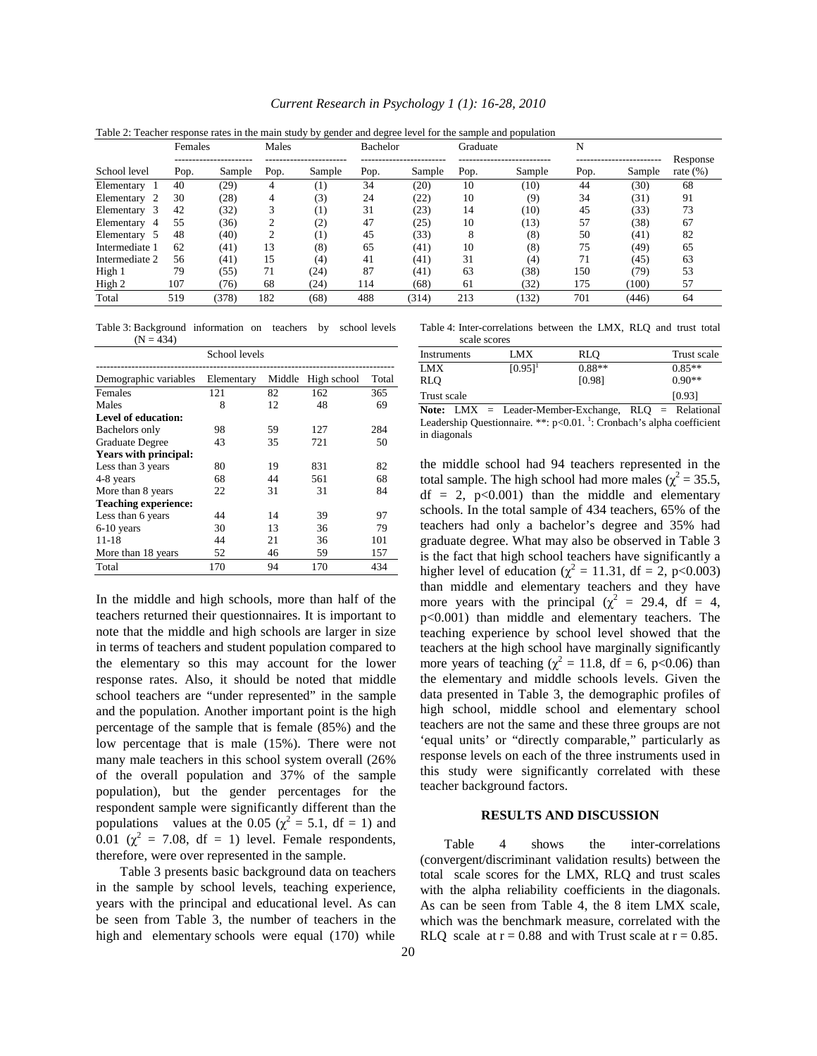|                  | Table 2: Teacher response rates in the main study by gender and degree level for the sample and population |        |                |        |                 |        |          |        |      |        |             |
|------------------|------------------------------------------------------------------------------------------------------------|--------|----------------|--------|-----------------|--------|----------|--------|------|--------|-------------|
|                  | Females                                                                                                    |        | Males          |        | <b>Bachelor</b> |        | Graduate |        | N    |        |             |
|                  |                                                                                                            |        |                |        |                 |        |          |        |      |        | Response    |
| School level     | Pop.                                                                                                       | Sample | Pop.           | Sample | Pop.            | Sample | Pop.     | Sample | Pop. | Sample | rate $(\%)$ |
| Elementary       | 40                                                                                                         | (29)   | 4              | (1)    | 34              | (20)   | 10       | (10)   | 44   | (30)   | 68          |
| Elementary<br>-2 | 30                                                                                                         | (28)   | 4              | (3)    | 24              | (22)   | 10       | (9)    | 34   | (31)   | 91          |
| Elementary<br>-3 | 42                                                                                                         | (32)   |                | (1)    | 31              | (23)   | 14       | (10)   | 45   | (33)   | 73          |
| Elementary<br>4  | 55                                                                                                         | (36)   | $\overline{c}$ | (2)    | 47              | (25)   | 10       | (13)   | 57   | (38)   | 67          |
| Elementary 5     | 48                                                                                                         | (40)   | $\overline{c}$ | (1)    | 45              | (33)   | 8        | (8)    | 50   | (41)   | 82          |
| Intermediate 1   | 62                                                                                                         | (41)   | 13             | (8)    | 65              | (41)   | 10       | (8)    | 75   | (49)   | 65          |
| Intermediate 2   | 56                                                                                                         | (41)   | 15             | (4)    | 41              | (41)   | 31       | (4)    | 71   | (45)   | 63          |
| High 1           | 79                                                                                                         | (55)   | 71             | (24)   | 87              | (41)   | 63       | (38)   | 150  | (79)   | 53          |
| High 2           | 107                                                                                                        | (76)   | 68             | (24)   | 114             | (68)   | 61       | (32)   | 175  | (100)  | 57          |
| Total            | 519                                                                                                        | (378)  | 182            | (68)   | 488             | (314)  | 213      | (132)  | 701  | (446)  | 64          |

*Current Research in Psychology 1 (1): 16-28, 2010* 

Table 3: Background information on teachers by school levels  $(N = 434)$ 

|                             | School levels |        |             |       |  |  |
|-----------------------------|---------------|--------|-------------|-------|--|--|
| Demographic variables       | Elementary    | Middle | High school | Total |  |  |
| Females                     | 121           | 82     | 162         | 365   |  |  |
| Males                       | 8             | 12     | 48          | 69    |  |  |
| Level of education:         |               |        |             |       |  |  |
| Bachelors only              | 98            | 59     | 127         | 284   |  |  |
| <b>Graduate Degree</b>      | 43            | 35     | 721         | 50    |  |  |
| Years with principal:       |               |        |             |       |  |  |
| Less than 3 years           | 80            | 19     | 831         | 82    |  |  |
| 4-8 years                   | 68            | 44     | 561         | 68    |  |  |
| More than 8 years           | 22            | 31     | 31          | 84    |  |  |
| <b>Teaching experience:</b> |               |        |             |       |  |  |
| Less than 6 years           | 44            | 14     | 39          | 97    |  |  |
| 6-10 years                  | 30            | 13     | 36          | 79    |  |  |
| $11 - 18$                   | 44            | 21     | 36          | 101   |  |  |
| More than 18 years          | 52            | 46     | 59          | 157   |  |  |
| Total                       | 170           | 94     | 170         | 434   |  |  |

In the middle and high schools, more than half of the teachers returned their questionnaires. It is important to note that the middle and high schools are larger in size in terms of teachers and student population compared to the elementary so this may account for the lower response rates. Also, it should be noted that middle school teachers are "under represented" in the sample and the population. Another important point is the high percentage of the sample that is female (85%) and the low percentage that is male (15%). There were not many male teachers in this school system overall (26% of the overall population and 37% of the sample population), but the gender percentages for the respondent sample were significantly different than the populations values at the 0.05 ( $\chi^2 = 5.1$ , df = 1) and 0.01 ( $\chi^2$  = 7.08, df = 1) level. Female respondents, therefore, were over represented in the sample.

 Table 3 presents basic background data on teachers in the sample by school levels, teaching experience, years with the principal and educational level. As can be seen from Table 3, the number of teachers in the high and elementary schools were equal (170) while

Table 4: Inter-correlations between the LMX, RLQ and trust total scale scores

| <b>DUALU DUOLUD</b> |                       |          |             |
|---------------------|-----------------------|----------|-------------|
| Instruments         | LMX                   | RLO      | Trust scale |
| <b>LMX</b>          | $[0.95]$ <sup>1</sup> | $0.88**$ | $0.85**$    |
| <b>RLO</b>          |                       | [0.98]   | $0.90**$    |
| Trust scale         |                       |          | [0.93]      |

**Note:** LMX = Leader-Member-Exchange, RLQ = Relational Leadership Questionnaire. \*\*: p<0.01. <sup>1</sup>: Cronbach's alpha coefficient in diagonals

the middle school had 94 teachers represented in the total sample. The high school had more males ( $\chi^2$  = 35.5,  $df = 2$ ,  $p < 0.001$ ) than the middle and elementary schools. In the total sample of 434 teachers, 65% of the teachers had only a bachelor's degree and 35% had graduate degree. What may also be observed in Table 3 is the fact that high school teachers have significantly a higher level of education ( $\chi^2 = 11.31$ , df = 2, p<0.003) than middle and elementary teachers and they have more years with the principal ( $\chi^2 = 29.4$ , df = 4, p<0.001) than middle and elementary teachers. The teaching experience by school level showed that the teachers at the high school have marginally significantly more years of teaching ( $\chi^2 = 11.8$ , df = 6, p<0.06) than the elementary and middle schools levels. Given the data presented in Table 3, the demographic profiles of high school, middle school and elementary school teachers are not the same and these three groups are not 'equal units' or "directly comparable," particularly as response levels on each of the three instruments used in this study were significantly correlated with these teacher background factors.

#### **RESULTS AND DISCUSSION**

 Table 4 shows the inter-correlations (convergent/discriminant validation results) between the total scale scores for the LMX, RLQ and trust scales with the alpha reliability coefficients in the diagonals. As can be seen from Table 4, the 8 item LMX scale, which was the benchmark measure, correlated with the RLQ scale at  $r = 0.88$  and with Trust scale at  $r = 0.85$ .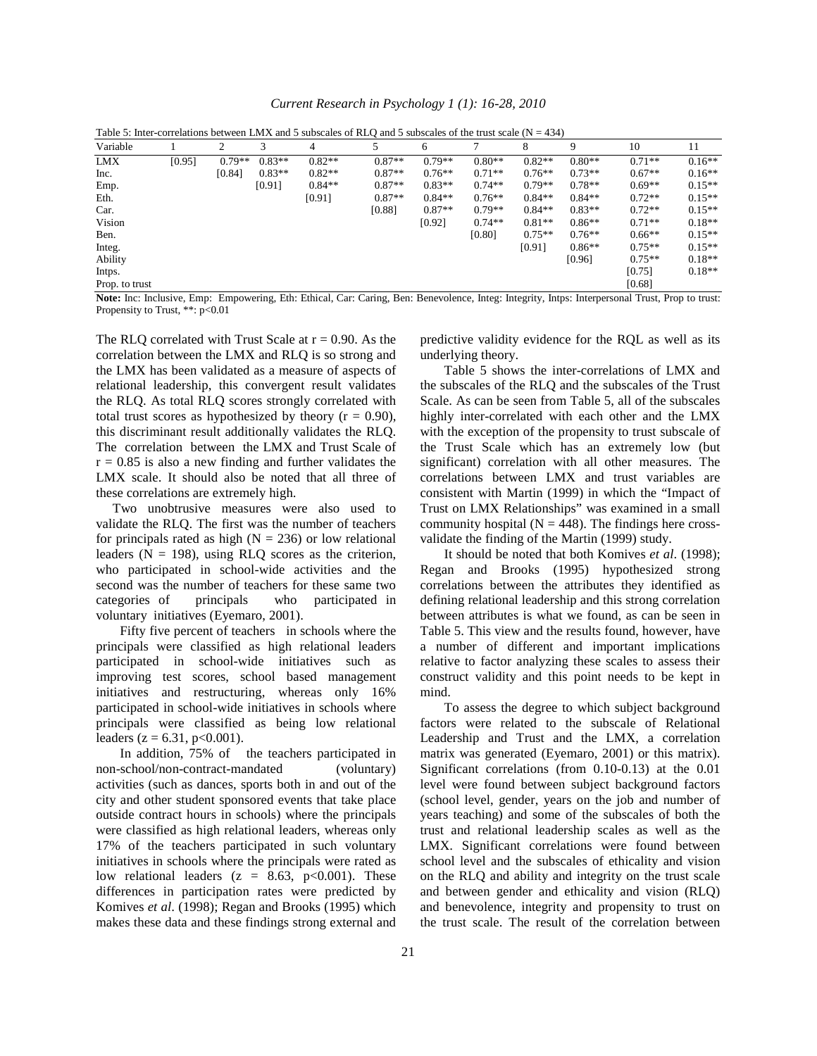|                | Table 5. Inter-correlations between Entry and 5 subsearcs of KEO and 5 subsearcs of the trust scale $(Y = \pm 5 \pm 7)$ |          |          |          |          |          |          |          |          |          |           |
|----------------|-------------------------------------------------------------------------------------------------------------------------|----------|----------|----------|----------|----------|----------|----------|----------|----------|-----------|
| Variable       |                                                                                                                         |          | 3        | 4        |          | 6        |          | 8        | Q        | 10       | 11        |
| LMX            | [0.95]                                                                                                                  | $0.79**$ | $0.83**$ | $0.82**$ | $0.87**$ | $0.79**$ | $0.80**$ | $0.82**$ | $0.80**$ | $0.71**$ | $0.16**$  |
| Inc.           |                                                                                                                         | [0.84]   | $0.83**$ | $0.82**$ | $0.87**$ | $0.76**$ | $0.71**$ | $0.76**$ | $0.73**$ | $0.67**$ | $0.16**$  |
| Emp.           |                                                                                                                         |          | [0.91]   | $0.84**$ | $0.87**$ | $0.83**$ | $0.74**$ | $0.79**$ | $0.78**$ | $0.69**$ | $0.15***$ |
| Eth.           |                                                                                                                         |          |          | [0.91]   | $0.87**$ | $0.84**$ | $0.76**$ | $0.84**$ | $0.84**$ | $0.72**$ | $0.15**$  |
| Car.           |                                                                                                                         |          |          |          | [0.88]   | $0.87**$ | $0.79**$ | $0.84**$ | $0.83**$ | $0.72**$ | $0.15***$ |
| Vision         |                                                                                                                         |          |          |          |          | [0.92]   | $0.74**$ | $0.81**$ | $0.86**$ | $0.71**$ | $0.18**$  |
| Ben.           |                                                                                                                         |          |          |          |          |          | [0.80]   | $0.75**$ | $0.76**$ | $0.66**$ | $0.15***$ |
| Integ.         |                                                                                                                         |          |          |          |          |          |          | [0.91]   | $0.86**$ | $0.75**$ | $0.15**$  |
| Ability        |                                                                                                                         |          |          |          |          |          |          |          | [0.96]   | $0.75**$ | $0.18**$  |
| Intps.         |                                                                                                                         |          |          |          |          |          |          |          |          | [0.75]   | $0.18**$  |
| Prop. to trust |                                                                                                                         |          |          |          |          |          |          |          |          | [0.68]   |           |

**Note:** Inc: Inclusive, Emp: Empowering, Eth: Ethical, Car: Caring, Ben: Benevolence, Integ: Integrity, Intps: Interpersonal Trust, Prop to trust: Propensity to Trust, \*\*: p<0.01

The RLQ correlated with Trust Scale at  $r = 0.90$ . As the correlation between the LMX and RLQ is so strong and the LMX has been validated as a measure of aspects of relational leadership, this convergent result validates the RLQ. As total RLQ scores strongly correlated with total trust scores as hypothesized by theory ( $r = 0.90$ ), this discriminant result additionally validates the RLQ. The correlation between the LMX and Trust Scale of  $r = 0.85$  is also a new finding and further validates the LMX scale. It should also be noted that all three of these correlations are extremely high.

 Two unobtrusive measures were also used to validate the RLQ. The first was the number of teachers for principals rated as high  $(N = 236)$  or low relational leaders ( $N = 198$ ), using RLQ scores as the criterion, who participated in school-wide activities and the second was the number of teachers for these same two categories of principals who participated in voluntary initiatives (Eyemaro, 2001).

 Fifty five percent of teachers in schools where the principals were classified as high relational leaders participated in school-wide initiatives such as improving test scores, school based management initiatives and restructuring, whereas only 16% participated in school-wide initiatives in schools where principals were classified as being low relational leaders ( $z = 6.31$ ,  $p < 0.001$ ).

 In addition, 75% of the teachers participated in non-school/non-contract-mandated (voluntary) activities (such as dances, sports both in and out of the city and other student sponsored events that take place outside contract hours in schools) where the principals were classified as high relational leaders, whereas only 17% of the teachers participated in such voluntary initiatives in schools where the principals were rated as low relational leaders ( $z = 8.63$ ,  $p < 0.001$ ). These differences in participation rates were predicted by Komives *et al*. (1998); Regan and Brooks (1995) which makes these data and these findings strong external and predictive validity evidence for the RQL as well as its underlying theory.

 Table 5 shows the inter-correlations of LMX and the subscales of the RLQ and the subscales of the Trust Scale. As can be seen from Table 5, all of the subscales highly inter-correlated with each other and the LMX with the exception of the propensity to trust subscale of the Trust Scale which has an extremely low (but significant) correlation with all other measures. The correlations between LMX and trust variables are consistent with Martin (1999) in which the "Impact of Trust on LMX Relationships" was examined in a small community hospital ( $N = 448$ ). The findings here crossvalidate the finding of the Martin (1999) study.

 It should be noted that both Komives *et al*. (1998); Regan and Brooks (1995) hypothesized strong correlations between the attributes they identified as defining relational leadership and this strong correlation between attributes is what we found, as can be seen in Table 5. This view and the results found, however, have a number of different and important implications relative to factor analyzing these scales to assess their construct validity and this point needs to be kept in mind.

 To assess the degree to which subject background factors were related to the subscale of Relational Leadership and Trust and the LMX, a correlation matrix was generated (Eyemaro, 2001) or this matrix). Significant correlations (from 0.10-0.13) at the 0.01 level were found between subject background factors (school level, gender, years on the job and number of years teaching) and some of the subscales of both the trust and relational leadership scales as well as the LMX. Significant correlations were found between school level and the subscales of ethicality and vision on the RLQ and ability and integrity on the trust scale and between gender and ethicality and vision (RLQ) and benevolence, integrity and propensity to trust on the trust scale. The result of the correlation between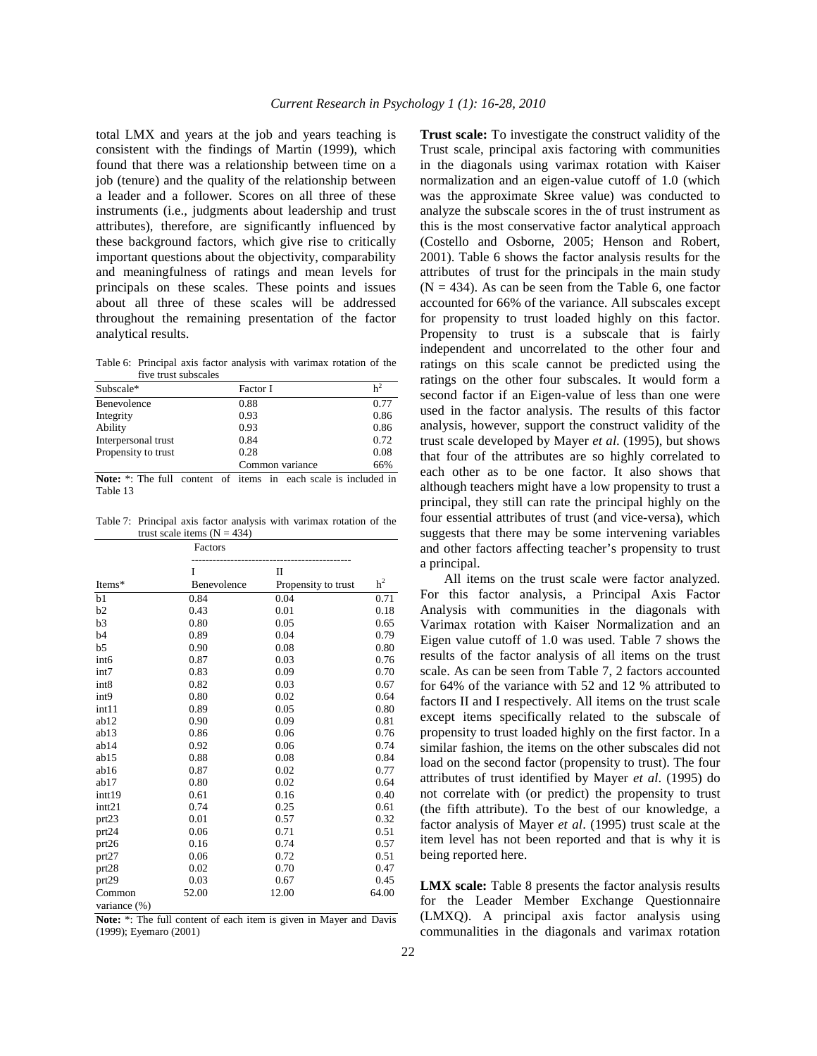total LMX and years at the job and years teaching is consistent with the findings of Martin (1999), which found that there was a relationship between time on a job (tenure) and the quality of the relationship between a leader and a follower. Scores on all three of these instruments (i.e., judgments about leadership and trust attributes), therefore, are significantly influenced by these background factors, which give rise to critically important questions about the objectivity, comparability and meaningfulness of ratings and mean levels for principals on these scales. These points and issues about all three of these scales will be addressed throughout the remaining presentation of the factor analytical results.

Table 6: Principal axis factor analysis with varimax rotation of the five trust subscales

| Subscale*           | Factor I        | $h^2$ |
|---------------------|-----------------|-------|
| Benevolence         | 0.88            | 0.77  |
| Integrity           | 0.93            | 0.86  |
| Ability             | 0.93            | 0.86  |
| Interpersonal trust | 0.84            | 0.72  |
| Propensity to trust | 0.28            | 0.08  |
|                     | Common variance | 66%   |

**Note:** \*: The full content of items in each scale is included in Table 13

Table 7: Principal axis factor analysis with varimax rotation of the trust scale items  $(N = 434)$ 

|                  | Factors     |                     |                |
|------------------|-------------|---------------------|----------------|
|                  | I           | П                   |                |
| Items*           | Benevolence | Propensity to trust | h <sup>2</sup> |
| b1               | 0.84        | 0.04                | 0.71           |
| b2               | 0.43        | 0.01                | 0.18           |
| b3               | 0.80        | 0.05                | 0.65           |
| b4               | 0.89        | 0.04                | 0.79           |
| b5               | 0.90        | 0.08                | 0.80           |
| int <sub>6</sub> | 0.87        | 0.03                | 0.76           |
| int7             | 0.83        | 0.09                | 0.70           |
| int <sub>8</sub> | 0.82        | 0.03                | 0.67           |
| int9             | 0.80        | 0.02                | 0.64           |
| int11            | 0.89        | 0.05                | 0.80           |
| ab12             | 0.90        | 0.09                | 0.81           |
| ab13             | 0.86        | 0.06                | 0.76           |
| ab14             | 0.92        | 0.06                | 0.74           |
| ab15             | 0.88        | 0.08                | 0.84           |
| ab16             | 0.87        | 0.02                | 0.77           |
| ab17             | 0.80        | 0.02                | 0.64           |
| intt19           | 0.61        | 0.16                | 0.40           |
| intt21           | 0.74        | 0.25                | 0.61           |
| prt23            | 0.01        | 0.57                | 0.32           |
| prt24            | 0.06        | 0.71                | 0.51           |
| prt26            | 0.16        | 0.74                | 0.57           |
| prt27            | 0.06        | 0.72                | 0.51           |
| prt28            | 0.02        | 0.70                | 0.47           |
| prt29            | 0.03        | 0.67                | 0.45           |
| Common           | 52.00       | 12.00               | 64.00          |
| variance (%)     |             |                     |                |

**Note:** \*: The full content of each item is given in Mayer and Davis (1999); Eyemaro (2001)

**Trust scale:** To investigate the construct validity of the Trust scale, principal axis factoring with communities in the diagonals using varimax rotation with Kaiser normalization and an eigen-value cutoff of 1.0 (which was the approximate Skree value) was conducted to analyze the subscale scores in the of trust instrument as this is the most conservative factor analytical approach (Costello and Osborne, 2005; Henson and Robert, 2001). Table 6 shows the factor analysis results for the attributes of trust for the principals in the main study  $(N = 434)$ . As can be seen from the Table 6, one factor accounted for 66% of the variance. All subscales except for propensity to trust loaded highly on this factor. Propensity to trust is a subscale that is fairly independent and uncorrelated to the other four and ratings on this scale cannot be predicted using the ratings on the other four subscales. It would form a second factor if an Eigen-value of less than one were used in the factor analysis. The results of this factor analysis, however, support the construct validity of the trust scale developed by Mayer *et al*. (1995), but shows that four of the attributes are so highly correlated to each other as to be one factor. It also shows that although teachers might have a low propensity to trust a principal, they still can rate the principal highly on the four essential attributes of trust (and vice-versa), which suggests that there may be some intervening variables and other factors affecting teacher's propensity to trust a principal.

 All items on the trust scale were factor analyzed. For this factor analysis, a Principal Axis Factor Analysis with communities in the diagonals with Varimax rotation with Kaiser Normalization and an Eigen value cutoff of 1.0 was used. Table 7 shows the results of the factor analysis of all items on the trust scale. As can be seen from Table 7, 2 factors accounted for 64% of the variance with 52 and 12 % attributed to factors II and I respectively. All items on the trust scale except items specifically related to the subscale of propensity to trust loaded highly on the first factor. In a similar fashion, the items on the other subscales did not load on the second factor (propensity to trust). The four attributes of trust identified by Mayer *et al*. (1995) do not correlate with (or predict) the propensity to trust (the fifth attribute). To the best of our knowledge, a factor analysis of Mayer *et al*. (1995) trust scale at the item level has not been reported and that is why it is being reported here.

**LMX scale:** Table 8 presents the factor analysis results for the Leader Member Exchange Questionnaire (LMXQ). A principal axis factor analysis using communalities in the diagonals and varimax rotation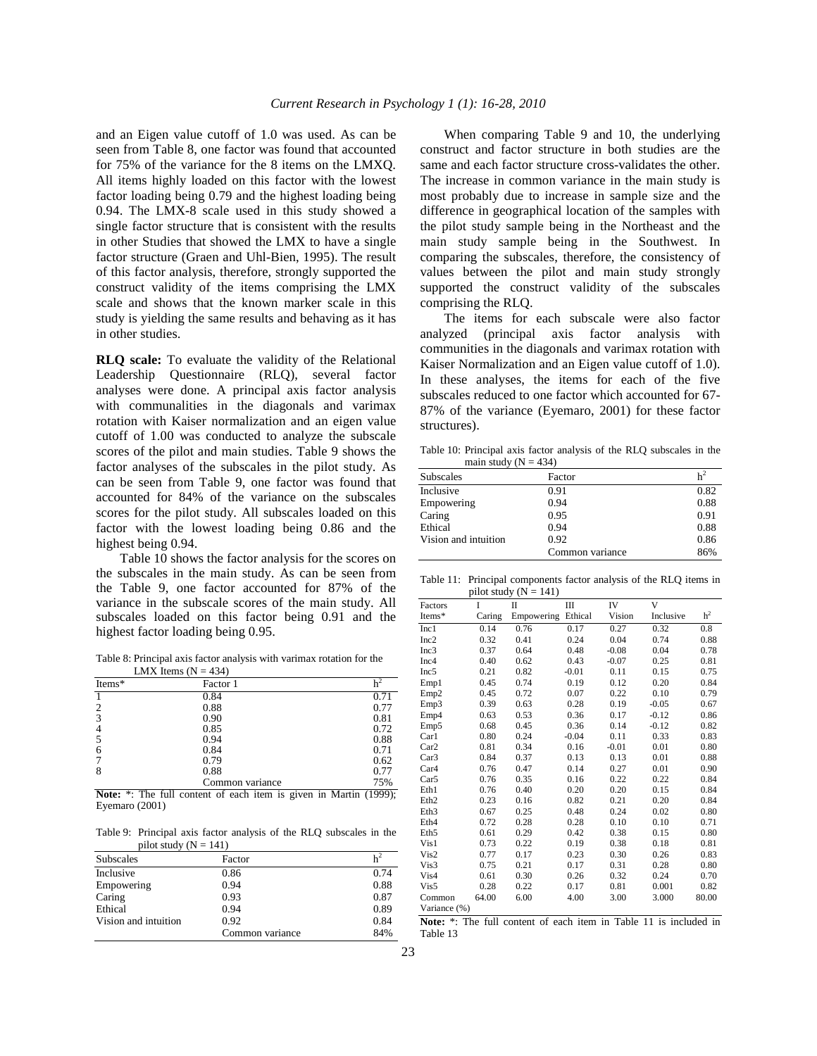and an Eigen value cutoff of 1.0 was used. As can be seen from Table 8, one factor was found that accounted for 75% of the variance for the 8 items on the LMXQ. All items highly loaded on this factor with the lowest factor loading being 0.79 and the highest loading being 0.94. The LMX-8 scale used in this study showed a single factor structure that is consistent with the results in other Studies that showed the LMX to have a single factor structure (Graen and Uhl-Bien, 1995). The result of this factor analysis, therefore, strongly supported the construct validity of the items comprising the LMX scale and shows that the known marker scale in this study is yielding the same results and behaving as it has in other studies.

**RLQ scale:** To evaluate the validity of the Relational Leadership Questionnaire (RLQ), several factor analyses were done. A principal axis factor analysis with communalities in the diagonals and varimax rotation with Kaiser normalization and an eigen value cutoff of 1.00 was conducted to analyze the subscale scores of the pilot and main studies. Table 9 shows the factor analyses of the subscales in the pilot study. As can be seen from Table 9, one factor was found that accounted for 84% of the variance on the subscales scores for the pilot study. All subscales loaded on this factor with the lowest loading being 0.86 and the highest being 0.94.

 Table 10 shows the factor analysis for the scores on the subscales in the main study. As can be seen from the Table 9, one factor accounted for 87% of the variance in the subscale scores of the main study. All subscales loaded on this factor being 0.91 and the highest factor loading being 0.95.

Table 8: Principal axis factor analysis with varimax rotation for the LMX Items  $(N = 434)$ 

| Items*         | Factor 1        |      |
|----------------|-----------------|------|
|                | 0.84            | 0.71 |
| $\overline{c}$ | 0.88            | 0.77 |
| 3              | 0.90            | 0.81 |
| $\overline{4}$ | 0.85            | 0.72 |
| 5              | 0.94            | 0.88 |
| 6              | 0.84            | 0.71 |
| 7              | 0.79            | 0.62 |
| 8              | 0.88            | 0.77 |
|                | Common variance | 75%  |

**Note:** \*: The full content of each item is given in Martin (1999); Eyemaro (2001)

Table 9: Principal axis factor analysis of the RLQ subscales in the pilot study ( $N = 141$ )

| <b>Subscales</b>     | Factor          | h <sup>2</sup> |
|----------------------|-----------------|----------------|
| Inclusive            | 0.86            | 0.74           |
| Empowering           | 0.94            | 0.88           |
| Caring               | 0.93            | 0.87           |
| Ethical              | 0.94            | 0.89           |
| Vision and intuition | 0.92            | 0.84           |
|                      | Common variance | 84%            |

 When comparing Table 9 and 10, the underlying construct and factor structure in both studies are the same and each factor structure cross-validates the other. The increase in common variance in the main study is most probably due to increase in sample size and the difference in geographical location of the samples with the pilot study sample being in the Northeast and the main study sample being in the Southwest. In comparing the subscales, therefore, the consistency of values between the pilot and main study strongly supported the construct validity of the subscales comprising the RLQ.

 The items for each subscale were also factor analyzed (principal axis factor analysis with communities in the diagonals and varimax rotation with Kaiser Normalization and an Eigen value cutoff of 1.0). In these analyses, the items for each of the five subscales reduced to one factor which accounted for 67- 87% of the variance (Eyemaro, 2001) for these factor structures).

Table 10: Principal axis factor analysis of the RLQ subscales in the main study ( $N = 434$ )

| Factor          | $h^2$ |
|-----------------|-------|
| 0.91            | 0.82  |
| 0.94            | 0.88  |
| 0.95            | 0.91  |
| 0.94            | 0.88  |
| 0.92            | 0.86  |
| Common variance | 86%   |
|                 |       |

Table 11: Principal components factor analysis of the RLQ items in pilot study ( $N = 141$ )

| Factors          | Ī      | П          | Ш       | <b>IV</b> | V         |                |
|------------------|--------|------------|---------|-----------|-----------|----------------|
| Items*           | Caring | Empowering | Ethical | Vision    | Inclusive | h <sup>2</sup> |
| Inc1             | 0.14   | 0.76       | 0.17    | 0.27      | 0.32      | 0.8            |
| Inc2             | 0.32   | 0.41       | 0.24    | 0.04      | 0.74      | 0.88           |
| Inc3             | 0.37   | 0.64       | 0.48    | $-0.08$   | 0.04      | 0.78           |
| Inc4             | 0.40   | 0.62       | 0.43    | $-0.07$   | 0.25      | 0.81           |
| Inc5             | 0.21   | 0.82       | $-0.01$ | 0.11      | 0.15      | 0.75           |
| Emp1             | 0.45   | 0.74       | 0.19    | 0.12      | 0.20      | 0.84           |
| Emp2             | 0.45   | 0.72       | 0.07    | 0.22      | 0.10      | 0.79           |
| Emp3             | 0.39   | 0.63       | 0.28    | 0.19      | $-0.05$   | 0.67           |
| Emp4             | 0.63   | 0.53       | 0.36    | 0.17      | $-0.12$   | 0.86           |
| Emp5             | 0.68   | 0.45       | 0.36    | 0.14      | $-0.12$   | 0.82           |
| Car1             | 0.80   | 0.24       | $-0.04$ | 0.11      | 0.33      | 0.83           |
| Car <sub>2</sub> | 0.81   | 0.34       | 0.16    | $-0.01$   | 0.01      | 0.80           |
| Car3             | 0.84   | 0.37       | 0.13    | 0.13      | 0.01      | 0.88           |
| Car4             | 0.76   | 0.47       | 0.14    | 0.27      | 0.01      | 0.90           |
| Car5             | 0.76   | 0.35       | 0.16    | 0.22      | 0.22      | 0.84           |
| Eth1             | 0.76   | 0.40       | 0.20    | 0.20      | 0.15      | 0.84           |
| Eth <sub>2</sub> | 0.23   | 0.16       | 0.82    | 0.21      | 0.20      | 0.84           |
| Eth <sub>3</sub> | 0.67   | 0.25       | 0.48    | 0.24      | 0.02      | 0.80           |
| Eth4             | 0.72   | 0.28       | 0.28    | 0.10      | 0.10      | 0.71           |
| Eth <sub>5</sub> | 0.61   | 0.29       | 0.42    | 0.38      | 0.15      | 0.80           |
| Vis1             | 0.73   | 0.22       | 0.19    | 0.38      | 0.18      | 0.81           |
| Vis2             | 0.77   | 0.17       | 0.23    | 0.30      | 0.26      | 0.83           |
| Vis <sub>3</sub> | 0.75   | 0.21       | 0.17    | 0.31      | 0.28      | 0.80           |
| Vis4             | 0.61   | 0.30       | 0.26    | 0.32      | 0.24      | 0.70           |
| Vis5             | 0.28   | 0.22       | 0.17    | 0.81      | 0.001     | 0.82           |
| Common           | 64.00  | 6.00       | 4.00    | 3.00      | 3.000     | 80.00          |
| Variance (%)     |        |            |         |           |           |                |

**Note:** \*: The full content of each item in Table 11 is included in Table 13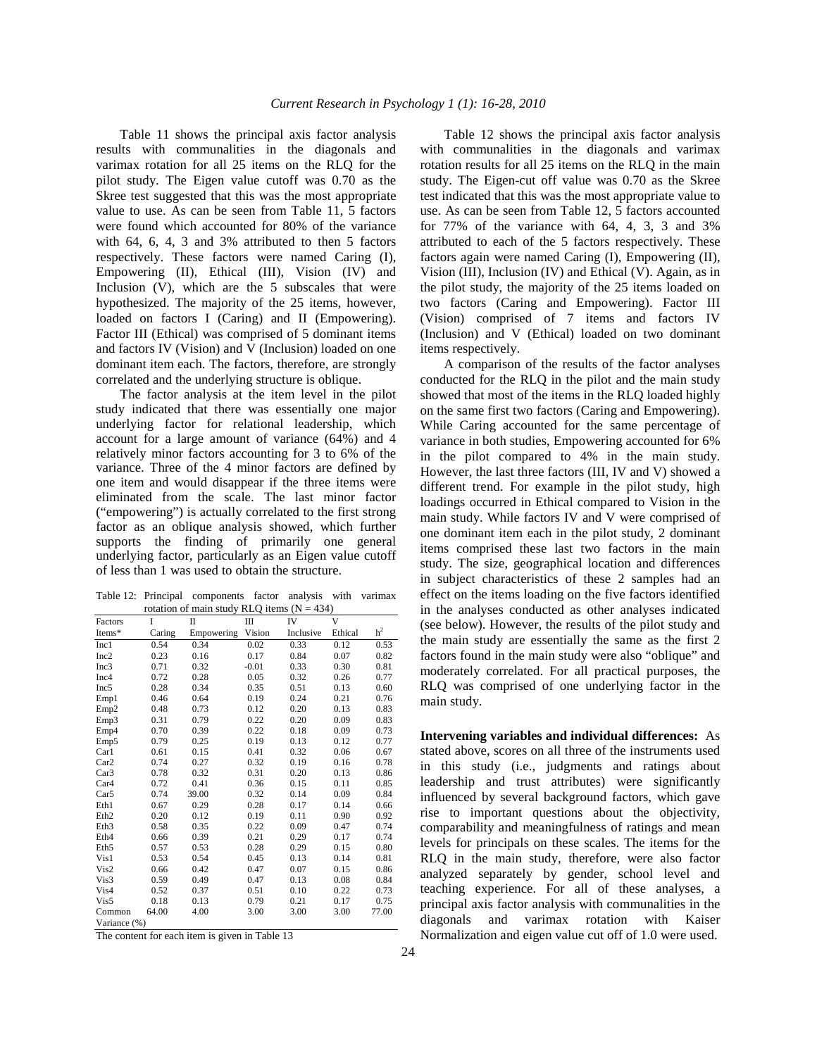Table 11 shows the principal axis factor analysis results with communalities in the diagonals and varimax rotation for all 25 items on the RLQ for the pilot study. The Eigen value cutoff was 0.70 as the Skree test suggested that this was the most appropriate value to use. As can be seen from Table 11, 5 factors were found which accounted for 80% of the variance with 64, 6, 4, 3 and 3% attributed to then 5 factors respectively. These factors were named Caring (I), Empowering (II), Ethical (III), Vision (IV) and Inclusion (V), which are the 5 subscales that were hypothesized. The majority of the 25 items, however, loaded on factors I (Caring) and II (Empowering). Factor III (Ethical) was comprised of 5 dominant items and factors IV (Vision) and V (Inclusion) loaded on one dominant item each. The factors, therefore, are strongly correlated and the underlying structure is oblique.

 The factor analysis at the item level in the pilot study indicated that there was essentially one major underlying factor for relational leadership, which account for a large amount of variance (64%) and 4 relatively minor factors accounting for 3 to 6% of the variance. Three of the 4 minor factors are defined by one item and would disappear if the three items were eliminated from the scale. The last minor factor ("empowering") is actually correlated to the first strong factor as an oblique analysis showed, which further supports the finding of primarily one general underlying factor, particularly as an Eigen value cutoff of less than 1 was used to obtain the structure.

Table 12: Principal components factor analysis with varimax  $_{\text{total}}$  DIO items (N

| Foration of main study KEQ froms $(Y = 434)$ |        |            |         |           |         |                |  |  |  |
|----------------------------------------------|--------|------------|---------|-----------|---------|----------------|--|--|--|
| Factors                                      | I      | П          | Ш       | IV        | V       |                |  |  |  |
| Items*                                       | Caring | Empowering | Vision  | Inclusive | Ethical | h <sup>2</sup> |  |  |  |
| Inc1                                         | 0.54   | 0.34       | 0.02    | 0.33      | 0.12    | 0.53           |  |  |  |
| Inc2                                         | 0.23   | 0.16       | 0.17    | 0.84      | 0.07    | 0.82           |  |  |  |
| Inc3                                         | 0.71   | 0.32       | $-0.01$ | 0.33      | 0.30    | 0.81           |  |  |  |
| Inc4                                         | 0.72   | 0.28       | 0.05    | 0.32      | 0.26    | 0.77           |  |  |  |
| Inc5                                         | 0.28   | 0.34       | 0.35    | 0.51      | 0.13    | 0.60           |  |  |  |
| Emp1                                         | 0.46   | 0.64       | 0.19    | 0.24      | 0.21    | 0.76           |  |  |  |
| Emp2                                         | 0.48   | 0.73       | 0.12    | 0.20      | 0.13    | 0.83           |  |  |  |
| Emp3                                         | 0.31   | 0.79       | 0.22    | 0.20      | 0.09    | 0.83           |  |  |  |
| Emp4                                         | 0.70   | 0.39       | 0.22    | 0.18      | 0.09    | 0.73           |  |  |  |
| Emp5                                         | 0.79   | 0.25       | 0.19    | 0.13      | 0.12    | 0.77           |  |  |  |
| Car1                                         | 0.61   | 0.15       | 0.41    | 0.32      | 0.06    | 0.67           |  |  |  |
| Car2                                         | 0.74   | 0.27       | 0.32    | 0.19      | 0.16    | 0.78           |  |  |  |
| Car <sub>3</sub>                             | 0.78   | 0.32       | 0.31    | 0.20      | 0.13    | 0.86           |  |  |  |
| Car4                                         | 0.72   | 0.41       | 0.36    | 0.15      | 0.11    | 0.85           |  |  |  |
| Car <sub>5</sub>                             | 0.74   | 39.00      | 0.32    | 0.14      | 0.09    | 0.84           |  |  |  |
| Eth1                                         | 0.67   | 0.29       | 0.28    | 0.17      | 0.14    | 0.66           |  |  |  |
| Eth <sub>2</sub>                             | 0.20   | 0.12       | 0.19    | 0.11      | 0.90    | 0.92           |  |  |  |
| Eth <sub>3</sub>                             | 0.58   | 0.35       | 0.22    | 0.09      | 0.47    | 0.74           |  |  |  |
| Eth4                                         | 0.66   | 0.39       | 0.21    | 0.29      | 0.17    | 0.74           |  |  |  |
| Eth5                                         | 0.57   | 0.53       | 0.28    | 0.29      | 0.15    | 0.80           |  |  |  |
| Vis1                                         | 0.53   | 0.54       | 0.45    | 0.13      | 0.14    | 0.81           |  |  |  |
| Vis2                                         | 0.66   | 0.42       | 0.47    | 0.07      | 0.15    | 0.86           |  |  |  |
| Vis3                                         | 0.59   | 0.49       | 0.47    | 0.13      | 0.08    | 0.84           |  |  |  |
| Vis4                                         | 0.52   | 0.37       | 0.51    | 0.10      | 0.22    | 0.73           |  |  |  |
| Vis5                                         | 0.18   | 0.13       | 0.79    | 0.21      | 0.17    | 0.75           |  |  |  |
| Common                                       | 64.00  | 4.00       | 3.00    | 3.00      | 3.00    | 77.00          |  |  |  |
| Variance (%)                                 |        |            |         |           |         |                |  |  |  |

The content for each item is given in Table 13

 Table 12 shows the principal axis factor analysis with communalities in the diagonals and varimax rotation results for all 25 items on the RLQ in the main study. The Eigen-cut off value was 0.70 as the Skree test indicated that this was the most appropriate value to use. As can be seen from Table 12, 5 factors accounted for 77% of the variance with 64, 4, 3, 3 and 3% attributed to each of the 5 factors respectively. These factors again were named Caring (I), Empowering (II), Vision (III), Inclusion (IV) and Ethical (V). Again, as in the pilot study, the majority of the 25 items loaded on two factors (Caring and Empowering). Factor III (Vision) comprised of 7 items and factors IV (Inclusion) and V (Ethical) loaded on two dominant items respectively.

 A comparison of the results of the factor analyses conducted for the RLQ in the pilot and the main study showed that most of the items in the RLQ loaded highly on the same first two factors (Caring and Empowering). While Caring accounted for the same percentage of variance in both studies, Empowering accounted for 6% in the pilot compared to 4% in the main study. However, the last three factors (III, IV and V) showed a different trend. For example in the pilot study, high loadings occurred in Ethical compared to Vision in the main study. While factors IV and V were comprised of one dominant item each in the pilot study, 2 dominant items comprised these last two factors in the main study. The size, geographical location and differences in subject characteristics of these 2 samples had an effect on the items loading on the five factors identified in the analyses conducted as other analyses indicated (see below). However, the results of the pilot study and the main study are essentially the same as the first 2 factors found in the main study were also "oblique" and moderately correlated. For all practical purposes, the RLQ was comprised of one underlying factor in the main study.

**Intervening variables and individual differences:** As stated above, scores on all three of the instruments used in this study (i.e., judgments and ratings about leadership and trust attributes) were significantly influenced by several background factors, which gave rise to important questions about the objectivity, comparability and meaningfulness of ratings and mean levels for principals on these scales. The items for the RLQ in the main study, therefore, were also factor analyzed separately by gender, school level and teaching experience. For all of these analyses, a principal axis factor analysis with communalities in the diagonals and varimax rotation with Kaiser Normalization and eigen value cut off of 1.0 were used.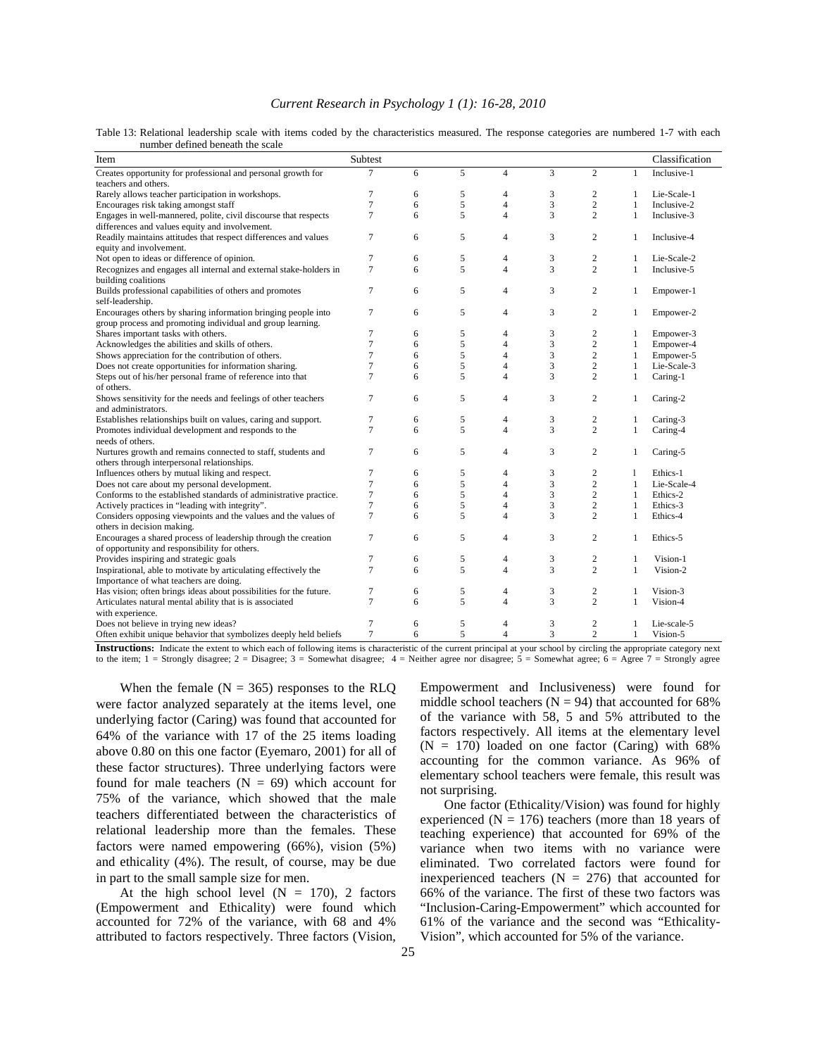#### *Current Research in Psychology 1 (1): 16-28, 2010*

| Table 13: Relational leadership scale with items coded by the characteristics measured. The response categories are numbered 1-7 with each |  |  |  |  |  |
|--------------------------------------------------------------------------------------------------------------------------------------------|--|--|--|--|--|
| number defined beneath the scale                                                                                                           |  |  |  |  |  |

| Item                                                                                 | Subtest         |   |            |                         |   |                  |              | Classification |
|--------------------------------------------------------------------------------------|-----------------|---|------------|-------------------------|---|------------------|--------------|----------------|
| Creates opportunity for professional and personal growth for<br>teachers and others. | $\overline{7}$  | 6 | 5          | $\overline{4}$          | 3 | $\overline{c}$   | $\mathbf{1}$ | Inclusive-1    |
| Rarely allows teacher participation in workshops.                                    | $\tau$          | 6 | 5          | $\overline{4}$          | 3 | $\mathfrak{2}$   | 1            | Lie-Scale-1    |
| Encourages risk taking amongst staff                                                 | $\tau$          | 6 | 5          | 4                       | 3 | $\overline{c}$   | 1            | Inclusive-2    |
| Engages in well-mannered, polite, civil discourse that respects                      | $\overline{7}$  | 6 | 5          | $\overline{4}$          | 3 | $\overline{c}$   | $\mathbf{1}$ | Inclusive-3    |
| differences and values equity and involvement.                                       |                 |   |            |                         |   |                  |              |                |
| Readily maintains attitudes that respect differences and values                      | $\tau$          | 6 | 5          | $\overline{4}$          | 3 | 2                | 1            | Inclusive-4    |
| equity and involvement.                                                              |                 |   |            |                         |   |                  |              |                |
| Not open to ideas or difference of opinion.                                          | $\tau$          | 6 | $\sqrt{5}$ | 4                       | 3 | $\boldsymbol{2}$ | 1            | Lie-Scale-2    |
| Recognizes and engages all internal and external stake-holders in                    | $\overline{7}$  | 6 | 5          | $\overline{4}$          | 3 | $\overline{c}$   | 1            | Inclusive-5    |
| building coalitions                                                                  |                 |   |            |                         |   |                  |              |                |
| Builds professional capabilities of others and promotes                              | $7\phantom{.0}$ | 6 | 5          | 4                       | 3 | $\mathfrak{2}$   | 1            | Empower-1      |
| self-leadership.                                                                     |                 |   |            |                         |   |                  |              |                |
| Encourages others by sharing information bringing people into                        | $7\phantom{.0}$ | 6 | 5          | $\overline{4}$          | 3 | $\overline{c}$   | 1            | Empower-2      |
| group process and promoting individual and group learning.                           |                 |   |            |                         |   |                  |              |                |
| Shares important tasks with others.                                                  | $\overline{7}$  | 6 | 5          | 4                       | 3 | 2                | 1            | Empower-3      |
| Acknowledges the abilities and skills of others.                                     | $\overline{7}$  | 6 | 5          | $\overline{4}$          | 3 | $\overline{c}$   | $\mathbf{1}$ | Empower-4      |
| Shows appreciation for the contribution of others.                                   | $\overline{7}$  | 6 | 5          | $\overline{4}$          | 3 | $\overline{c}$   | $\mathbf{1}$ | Empower-5      |
| Does not create opportunities for information sharing.                               | $\overline{7}$  | 6 | 5          | 4                       | 3 | $\mathbf{2}$     | $\mathbf{1}$ | Lie-Scale-3    |
| Steps out of his/her personal frame of reference into that                           | $\overline{7}$  | 6 | 5          | $\overline{4}$          | 3 | $\overline{c}$   | $\mathbf{1}$ | Caring-1       |
| of others.                                                                           |                 |   |            |                         |   |                  |              |                |
| Shows sensitivity for the needs and feelings of other teachers                       | 7               | 6 | 5          | 4                       | 3 | $\mathfrak{2}$   | 1            | Caring-2       |
| and administrators.                                                                  |                 |   |            |                         |   |                  |              |                |
| Establishes relationships built on values, caring and support.                       | $\tau$          | 6 | 5          | 4                       | 3 | $\mathfrak{2}$   | 1            | Caring-3       |
| Promotes individual development and responds to the                                  | $\overline{7}$  | 6 | 5          | $\overline{4}$          | 3 | $\overline{c}$   | $\mathbf{1}$ | Caring-4       |
| needs of others.                                                                     |                 |   |            |                         |   |                  |              |                |
| Nurtures growth and remains connected to staff, students and                         | $\tau$          | 6 | 5          | 4                       | 3 | 2                | 1            | Caring-5       |
| others through interpersonal relationships.                                          |                 |   |            |                         |   |                  |              |                |
| Influences others by mutual liking and respect.                                      | $\tau$          | 6 | $\sqrt{5}$ | 4                       | 3 | 2                | 1            | Ethics-1       |
| Does not care about my personal development.                                         | $\overline{7}$  | 6 | 5          | $\overline{4}$          | 3 | $\overline{c}$   | $\mathbf{1}$ | Lie-Scale-4    |
| Conforms to the established standards of administrative practice.                    | $\overline{7}$  | 6 | 5          | $\overline{4}$          | 3 | $\overline{c}$   | $\mathbf{1}$ | Ethics-2       |
| Actively practices in "leading with integrity".                                      | $\overline{7}$  | 6 | 5          | 4                       | 3 | $\overline{c}$   | $\mathbf{1}$ | Ethics-3       |
| Considers opposing viewpoints and the values and the values of                       | $\overline{7}$  | 6 | 5          | $\overline{4}$          | 3 | $\overline{c}$   | $\mathbf{1}$ | Ethics-4       |
| others in decision making.                                                           |                 |   |            |                         |   |                  |              |                |
| Encourages a shared process of leadership through the creation                       | 7               | 6 | 5          | $\overline{4}$          | 3 | $\overline{c}$   | 1            | Ethics-5       |
| of opportunity and responsibility for others.                                        |                 |   |            |                         |   |                  |              |                |
| Provides inspiring and strategic goals                                               | $\tau$          | 6 | $\sqrt{5}$ | 4                       | 3 | 2                | 1            | Vision-1       |
| Inspirational, able to motivate by articulating effectively the                      | $\overline{7}$  | 6 | 5          | $\overline{4}$          | 3 | $\overline{c}$   | $\mathbf{1}$ | Vision-2       |
| Importance of what teachers are doing.                                               |                 |   |            |                         |   |                  |              |                |
| Has vision; often brings ideas about possibilities for the future.                   | 7               | 6 | $\sqrt{5}$ | 4                       | 3 | 2                | 1            | Vision-3       |
| Articulates natural mental ability that is is associated                             | $\overline{7}$  | 6 | 5          | $\overline{\mathbf{4}}$ | 3 | $\overline{c}$   | $\mathbf{1}$ | Vision-4       |
| with experience.                                                                     |                 |   |            |                         |   |                  |              |                |
| Does not believe in trying new ideas?                                                | 7               | 6 | 5          | 4                       | 3 | 2                |              | Lie-scale-5    |
| Often exhibit unique behavior that symbolizes deeply held beliefs                    | $\overline{7}$  | 6 | 5          | $\overline{4}$          | 3 | $\overline{c}$   | $\mathbf{1}$ | Vision-5       |

**Instructions:** Indicate the extent to which each of following items is characteristic of the current principal at your school by circling the appropriate category next to the item;  $1 =$  Strongly disagree;  $2 =$  Disagree;  $3 =$  Somewhat disagree;  $4 =$  Neither agree nor disagree;  $5 =$  Somewhat agree;  $6 =$  Agree  $7 =$  Strongly agree

When the female ( $N = 365$ ) responses to the RLQ were factor analyzed separately at the items level, one underlying factor (Caring) was found that accounted for 64% of the variance with 17 of the 25 items loading above 0.80 on this one factor (Eyemaro, 2001) for all of these factor structures). Three underlying factors were found for male teachers  $(N = 69)$  which account for 75% of the variance, which showed that the male teachers differentiated between the characteristics of relational leadership more than the females. These factors were named empowering (66%), vision (5%) and ethicality (4%). The result, of course, may be due in part to the small sample size for men.

At the high school level  $(N = 170)$ , 2 factors (Empowerment and Ethicality) were found which accounted for 72% of the variance, with 68 and 4% attributed to factors respectively. Three factors (Vision, Empowerment and Inclusiveness) were found for middle school teachers ( $N = 94$ ) that accounted for 68% of the variance with 58, 5 and 5% attributed to the factors respectively. All items at the elementary level  $(N = 170)$  loaded on one factor (Caring) with 68% accounting for the common variance. As 96% of elementary school teachers were female, this result was not surprising.

 One factor (Ethicality/Vision) was found for highly experienced ( $N = 176$ ) teachers (more than 18 years of teaching experience) that accounted for 69% of the variance when two items with no variance were eliminated. Two correlated factors were found for inexperienced teachers  $(N = 276)$  that accounted for 66% of the variance. The first of these two factors was "Inclusion-Caring-Empowerment" which accounted for 61% of the variance and the second was "Ethicality-Vision", which accounted for 5% of the variance.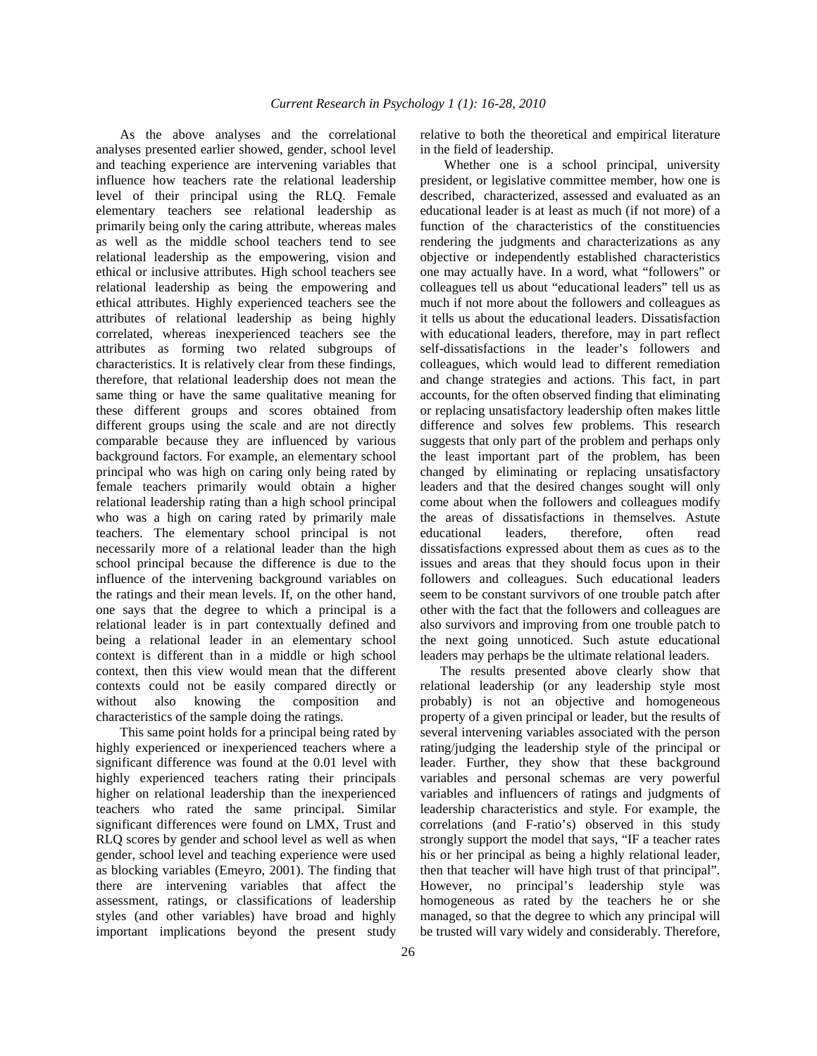As the above analyses and the correlational analyses presented earlier showed, gender, school level and teaching experience are intervening variables that influence how teachers rate the relational leadership level of their principal using the RLQ. Female elementary teachers see relational leadership as primarily being only the caring attribute, whereas males as well as the middle school teachers tend to see relational leadership as the empowering, vision and ethical or inclusive attributes. High school teachers see relational leadership as being the empowering and ethical attributes. Highly experienced teachers see the attributes of relational leadership as being highly correlated, whereas inexperienced teachers see the attributes as forming two related subgroups of characteristics. It is relatively clear from these findings, therefore, that relational leadership does not mean the same thing or have the same qualitative meaning for these different groups and scores obtained from different groups using the scale and are not directly comparable because they are influenced by various background factors. For example, an elementary school principal who was high on caring only being rated by female teachers primarily would obtain a higher relational leadership rating than a high school principal who was a high on caring rated by primarily male teachers. The elementary school principal is not necessarily more of a relational leader than the high school principal because the difference is due to the influence of the intervening background variables on the ratings and their mean levels. If, on the other hand, one says that the degree to which a principal is a relational leader is in part contextually defined and being a relational leader in an elementary school context is different than in a middle or high school context, then this view would mean that the different contexts could not be easily compared directly or without also knowing the composition and characteristics of the sample doing the ratings.

 This same point holds for a principal being rated by highly experienced or inexperienced teachers where a significant difference was found at the 0.01 level with highly experienced teachers rating their principals higher on relational leadership than the inexperienced teachers who rated the same principal. Similar significant differences were found on LMX, Trust and RLQ scores by gender and school level as well as when gender, school level and teaching experience were used as blocking variables (Emeyro, 2001). The finding that there are intervening variables that affect the assessment, ratings, or classifications of leadership styles (and other variables) have broad and highly important implications beyond the present study

relative to both the theoretical and empirical literature in the field of leadership.

 Whether one is a school principal, university president, or legislative committee member, how one is described, characterized, assessed and evaluated as an educational leader is at least as much (if not more) of a function of the characteristics of the constituencies rendering the judgments and characterizations as any objective or independently established characteristics one may actually have. In a word, what "followers" or colleagues tell us about "educational leaders" tell us as much if not more about the followers and colleagues as it tells us about the educational leaders. Dissatisfaction with educational leaders, therefore, may in part reflect self-dissatisfactions in the leader's followers and colleagues, which would lead to different remediation and change strategies and actions. This fact, in part accounts, for the often observed finding that eliminating or replacing unsatisfactory leadership often makes little difference and solves few problems. This research suggests that only part of the problem and perhaps only the least important part of the problem, has been changed by eliminating or replacing unsatisfactory leaders and that the desired changes sought will only come about when the followers and colleagues modify the areas of dissatisfactions in themselves. Astute educational leaders, therefore, often read dissatisfactions expressed about them as cues as to the issues and areas that they should focus upon in their followers and colleagues. Such educational leaders seem to be constant survivors of one trouble patch after other with the fact that the followers and colleagues are also survivors and improving from one trouble patch to the next going unnoticed. Such astute educational leaders may perhaps be the ultimate relational leaders.

 The results presented above clearly show that relational leadership (or any leadership style most probably) is not an objective and homogeneous property of a given principal or leader, but the results of several intervening variables associated with the person rating/judging the leadership style of the principal or leader. Further, they show that these background variables and personal schemas are very powerful variables and influencers of ratings and judgments of leadership characteristics and style. For example, the correlations (and F-ratio's) observed in this study strongly support the model that says, "IF a teacher rates his or her principal as being a highly relational leader, then that teacher will have high trust of that principal". However, no principal's leadership style was homogeneous as rated by the teachers he or she managed, so that the degree to which any principal will be trusted will vary widely and considerably. Therefore,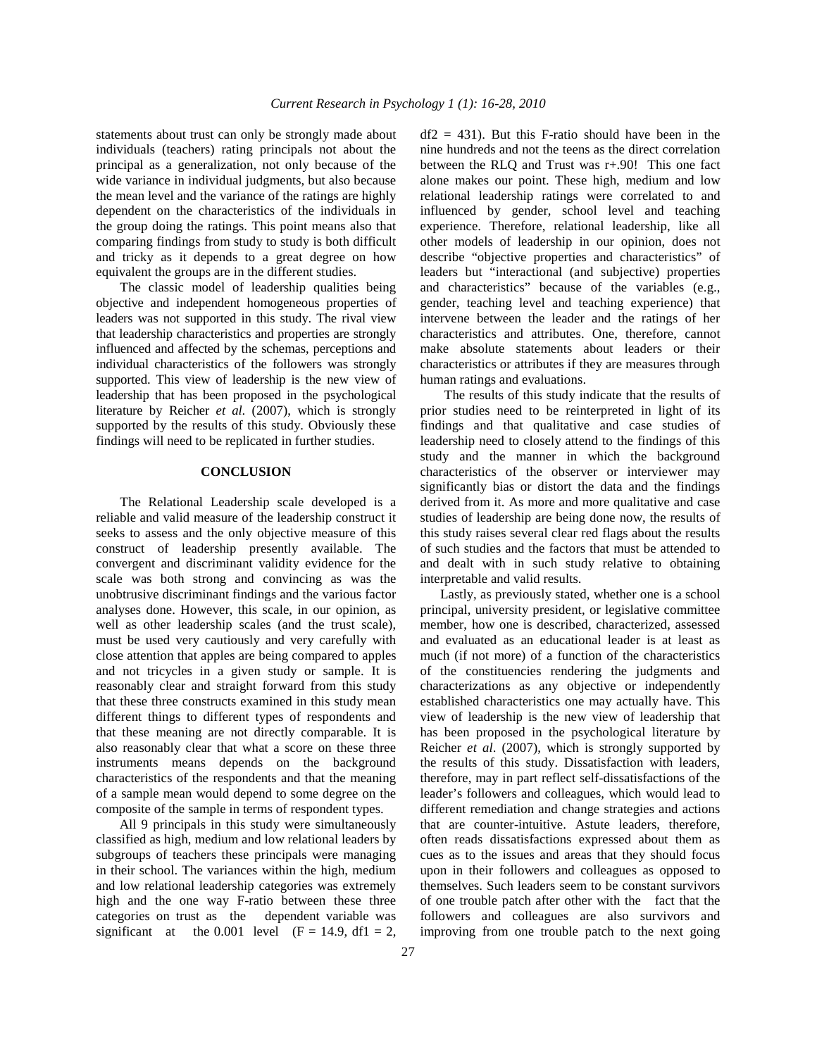statements about trust can only be strongly made about individuals (teachers) rating principals not about the principal as a generalization, not only because of the wide variance in individual judgments, but also because the mean level and the variance of the ratings are highly dependent on the characteristics of the individuals in the group doing the ratings. This point means also that comparing findings from study to study is both difficult and tricky as it depends to a great degree on how equivalent the groups are in the different studies.

 The classic model of leadership qualities being objective and independent homogeneous properties of leaders was not supported in this study. The rival view that leadership characteristics and properties are strongly influenced and affected by the schemas, perceptions and individual characteristics of the followers was strongly supported. This view of leadership is the new view of leadership that has been proposed in the psychological literature by Reicher *et al*. (2007), which is strongly supported by the results of this study. Obviously these findings will need to be replicated in further studies.

### **CONCLUSION**

 The Relational Leadership scale developed is a reliable and valid measure of the leadership construct it seeks to assess and the only objective measure of this construct of leadership presently available. The convergent and discriminant validity evidence for the scale was both strong and convincing as was the unobtrusive discriminant findings and the various factor analyses done. However, this scale, in our opinion, as well as other leadership scales (and the trust scale), must be used very cautiously and very carefully with close attention that apples are being compared to apples and not tricycles in a given study or sample. It is reasonably clear and straight forward from this study that these three constructs examined in this study mean different things to different types of respondents and that these meaning are not directly comparable. It is also reasonably clear that what a score on these three instruments means depends on the background characteristics of the respondents and that the meaning of a sample mean would depend to some degree on the composite of the sample in terms of respondent types.

 All 9 principals in this study were simultaneously classified as high, medium and low relational leaders by subgroups of teachers these principals were managing in their school. The variances within the high, medium and low relational leadership categories was extremely high and the one way F-ratio between these three categories on trust as the dependent variable was significant at the 0.001 level  $(F = 14.9, df1 = 2,$ 

 $df2 = 431$ ). But this F-ratio should have been in the nine hundreds and not the teens as the direct correlation between the RLQ and Trust was r+.90! This one fact alone makes our point. These high, medium and low relational leadership ratings were correlated to and influenced by gender, school level and teaching experience. Therefore, relational leadership, like all other models of leadership in our opinion, does not describe "objective properties and characteristics" of leaders but "interactional (and subjective) properties and characteristics" because of the variables (e.g., gender, teaching level and teaching experience) that intervene between the leader and the ratings of her characteristics and attributes. One, therefore, cannot make absolute statements about leaders or their characteristics or attributes if they are measures through human ratings and evaluations.

 The results of this study indicate that the results of prior studies need to be reinterpreted in light of its findings and that qualitative and case studies of leadership need to closely attend to the findings of this study and the manner in which the background characteristics of the observer or interviewer may significantly bias or distort the data and the findings derived from it. As more and more qualitative and case studies of leadership are being done now, the results of this study raises several clear red flags about the results of such studies and the factors that must be attended to and dealt with in such study relative to obtaining interpretable and valid results.

 Lastly, as previously stated, whether one is a school principal, university president, or legislative committee member, how one is described, characterized, assessed and evaluated as an educational leader is at least as much (if not more) of a function of the characteristics of the constituencies rendering the judgments and characterizations as any objective or independently established characteristics one may actually have. This view of leadership is the new view of leadership that has been proposed in the psychological literature by Reicher *et al*. (2007), which is strongly supported by the results of this study. Dissatisfaction with leaders, therefore, may in part reflect self-dissatisfactions of the leader's followers and colleagues, which would lead to different remediation and change strategies and actions that are counter-intuitive. Astute leaders, therefore, often reads dissatisfactions expressed about them as cues as to the issues and areas that they should focus upon in their followers and colleagues as opposed to themselves. Such leaders seem to be constant survivors of one trouble patch after other with the fact that the followers and colleagues are also survivors and improving from one trouble patch to the next going